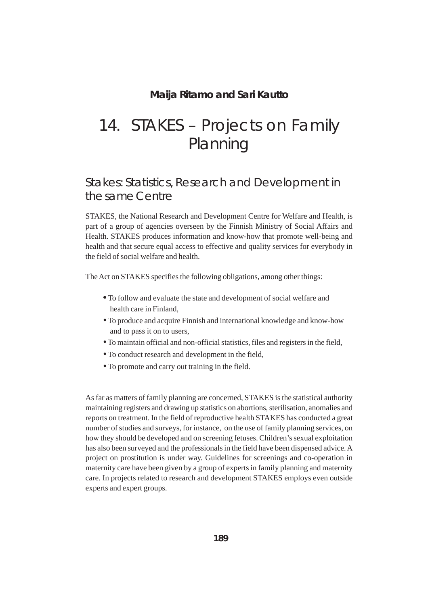#### **Maija Ritamo and Sari Kautto**

# 14. STAKES – Projects on Family **Planning**

### Stakes: Statistics, Research and Development in the same Centre

STAKES, the National Research and Development Centre for Welfare and Health, is part of a group of agencies overseen by the Finnish Ministry of Social Affairs and Health. STAKES produces information and know-how that promote well-being and health and that secure equal access to effective and quality services for everybody in the field of social welfare and health.

The Act on STAKES specifies the following obligations, among other things:

- •To follow and evaluate the state and development of social welfare and health care in Finland,
- •To produce and acquire Finnish and international knowledge and know-how and to pass it on to users,
- •To maintain official and non-official statistics, files and registers in the field,
- •To conduct research and development in the field,
- •To promote and carry out training in the field.

As far as matters of family planning are concerned, STAKES is the statistical authority maintaining registers and drawing up statistics on abortions, sterilisation, anomalies and reports on treatment. In the field of reproductive health STAKES has conducted a great number of studies and surveys, for instance, on the use of family planning services, on how they should be developed and on screening fetuses. Children's sexual exploitation has also been surveyed and the professionals in the field have been dispensed advice. A project on prostitution is under way. Guidelines for screenings and co-operation in maternity care have been given by a group of experts in family planning and maternity care. In projects related to research and development STAKES employs even outside experts and expert groups.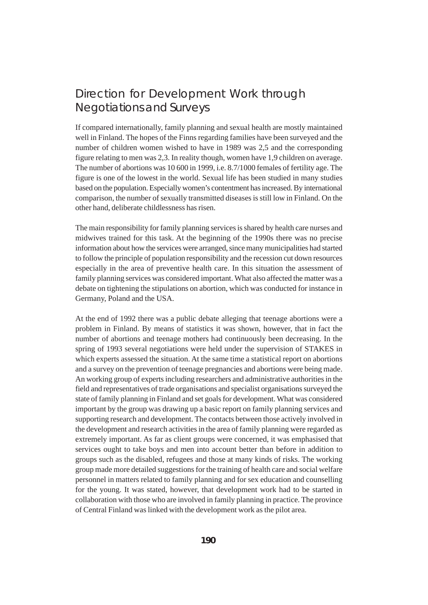# Direction for Development Work through Negotiations and Surveys

If compared internationally, family planning and sexual health are mostly maintained well in Finland. The hopes of the Finns regarding families have been surveyed and the number of children women wished to have in 1989 was 2,5 and the corresponding figure relating to men was 2,3. In reality though, women have 1,9 children on average. The number of abortions was 10 600 in 1999, i.e. 8.7/1000 females of fertility age. The figure is one of the lowest in the world. Sexual life has been studied in many studies based on the population. Especially women's contentment has increased. By international comparison, the number of sexually transmitted diseases is still low in Finland. On the other hand, deliberate childlessness has risen.

The main responsibility for family planning services is shared by health care nurses and midwives trained for this task. At the beginning of the 1990s there was no precise information about how the services were arranged, since many municipalities had started to follow the principle of population responsibility and the recession cut down resources especially in the area of preventive health care. In this situation the assessment of family planning services was considered important. What also affected the matter was a debate on tightening the stipulations on abortion, which was conducted for instance in Germany, Poland and the USA.

At the end of 1992 there was a public debate alleging that teenage abortions were a problem in Finland. By means of statistics it was shown, however, that in fact the number of abortions and teenage mothers had continuously been decreasing. In the spring of 1993 several negotiations were held under the supervision of STAKES in which experts assessed the situation. At the same time a statistical report on abortions and a survey on the prevention of teenage pregnancies and abortions were being made. An working group of experts including researchers and administrative authorities in the field and representatives of trade organisations and specialist organisations surveyed the state of family planning in Finland and set goals for development. What was considered important by the group was drawing up a basic report on family planning services and supporting research and development. The contacts between those actively involved in the development and research activities in the area of family planning were regarded as extremely important. As far as client groups were concerned, it was emphasised that services ought to take boys and men into account better than before in addition to groups such as the disabled, refugees and those at many kinds of risks. The working group made more detailed suggestions for the training of health care and social welfare personnel in matters related to family planning and for sex education and counselling for the young. It was stated, however, that development work had to be started in collaboration with those who are involved in family planning in practice. The province of Central Finland was linked with the development work as the pilot area.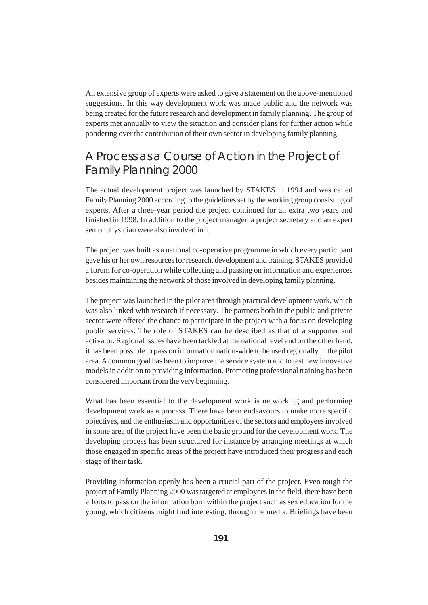An extensive group of experts were asked to give a statement on the above-mentioned suggestions. In this way development work was made public and the network was being created for the future research and development in family planning. The group of experts met annually to view the situation and consider plans for further action while pondering over the contribution of their own sector in developing family planning.

# A Process as a Course of Action in the Project of Family Planning 2000

The actual development project was launched by STAKES in 1994 and was called Family Planning 2000 according to the guidelines set by the working group consisting of experts. After a three-year period the project continued for an extra two years and finished in 1998. In addition to the project manager, a project secretary and an expert senior physician were also involved in it.

The project was built as a national co-operative programme in which every participant gave his or her own resources for research, development and training. STAKES provided a forum for co-operation while collecting and passing on information and experiences besides maintaining the network of those involved in developing family planning.

The project was launched in the pilot area through practical development work, which was also linked with research if necessary. The partners both in the public and private sector were offered the chance to participate in the project with a focus on developing public services. The role of STAKES can be described as that of a supporter and activator. Regional issues have been tackled at the national level and on the other hand, it has been possible to pass on information nation-wide to be used regionally in the pilot area. A common goal has been to improve the service system and to test new innovative models in addition to providing information. Promoting professional training has been considered important from the very beginning.

What has been essential to the development work is networking and performing development work as a process. There have been endeavours to make more specific objectives, and the enthusiasm and opportunities of the sectors and employees involved in some area of the project have been the basic ground for the development work. The developing process has been structured for instance by arranging meetings at which those engaged in specific areas of the project have introduced their progress and each stage of their task.

Providing information openly has been a crucial part of the project. Even tough the project of Family Planning 2000 was targeted at employees in the field, there have been efforts to pass on the information born within the project such as sex education for the young, which citizens might find interesting, through the media. Briefings have been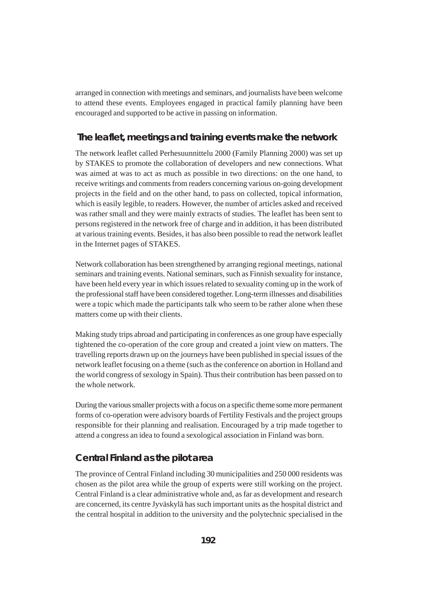arranged in connection with meetings and seminars, and journalists have been welcome to attend these events. Employees engaged in practical family planning have been encouraged and supported to be active in passing on information.

#### **The leaflet, meetings and training events make the network**

The network leaflet called Perhesuunnittelu 2000 (Family Planning 2000) was set up by STAKES to promote the collaboration of developers and new connections. What was aimed at was to act as much as possible in two directions: on the one hand, to receive writings and comments from readers concerning various on-going development projects in the field and on the other hand, to pass on collected, topical information, which is easily legible, to readers. However, the number of articles asked and received was rather small and they were mainly extracts of studies. The leaflet has been sent to persons registered in the network free of charge and in addition, it has been distributed at various training events. Besides, it has also been possible to read the network leaflet in the Internet pages of STAKES.

Network collaboration has been strengthened by arranging regional meetings, national seminars and training events. National seminars, such as Finnish sexuality for instance, have been held every year in which issues related to sexuality coming up in the work of the professional staff have been considered together. Long-term illnesses and disabilities were a topic which made the participants talk who seem to be rather alone when these matters come up with their clients.

Making study trips abroad and participating in conferences as one group have especially tightened the co-operation of the core group and created a joint view on matters. The travelling reports drawn up on the journeys have been published in special issues of the network leaflet focusing on a theme (such as the conference on abortion in Holland and the world congress of sexology in Spain). Thus their contribution has been passed on to the whole network.

During the various smaller projects with a focus on a specific theme some more permanent forms of co-operation were advisory boards of Fertility Festivals and the project groups responsible for their planning and realisation. Encouraged by a trip made together to attend a congress an idea to found a sexological association in Finland was born.

#### **Central Finland as the pilot area**

The province of Central Finland including 30 municipalities and 250 000 residents was chosen as the pilot area while the group of experts were still working on the project. Central Finland is a clear administrative whole and, as far as development and research are concerned, its centre Jyväskylä has such important units as the hospital district and the central hospital in addition to the university and the polytechnic specialised in the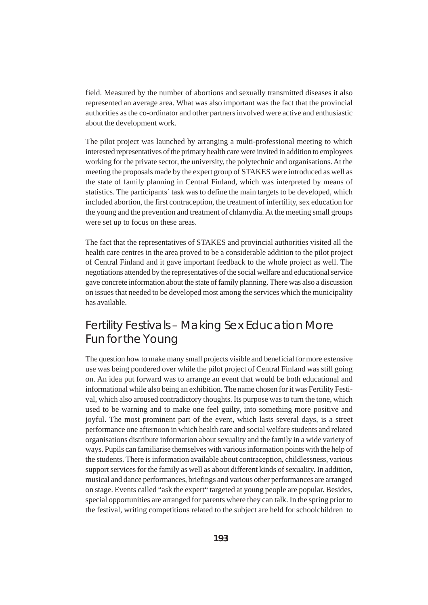field. Measured by the number of abortions and sexually transmitted diseases it also represented an average area. What was also important was the fact that the provincial authorities as the co-ordinator and other partners involved were active and enthusiastic about the development work.

The pilot project was launched by arranging a multi-professional meeting to which interested representatives of the primary health care were invited in addition to employees working for the private sector, the university, the polytechnic and organisations. At the meeting the proposals made by the expert group of STAKES were introduced as well as the state of family planning in Central Finland, which was interpreted by means of statistics. The participants´ task was to define the main targets to be developed, which included abortion, the first contraception, the treatment of infertility, sex education for the young and the prevention and treatment of chlamydia. At the meeting small groups were set up to focus on these areas.

The fact that the representatives of STAKES and provincial authorities visited all the health care centres in the area proved to be a considerable addition to the pilot project of Central Finland and it gave important feedback to the whole project as well. The negotiations attended by the representatives of the social welfare and educational service gave concrete information about the state of family planning. There was also a discussion on issues that needed to be developed most among the services which the municipality has available.

## Fertility Festivals – Making Sex Education More Fun for the Young

The question how to make many small projects visible and beneficial for more extensive use was being pondered over while the pilot project of Central Finland was still going on. An idea put forward was to arrange an event that would be both educational and informational while also being an exhibition. The name chosen for it was Fertility Festival, which also aroused contradictory thoughts. Its purpose was to turn the tone, which used to be warning and to make one feel guilty, into something more positive and joyful. The most prominent part of the event, which lasts several days, is a street performance one afternoon in which health care and social welfare students and related organisations distribute information about sexuality and the family in a wide variety of ways. Pupils can familiarise themselves with various information points with the help of the students. There is information available about contraception, childlessness, various support services for the family as well as about different kinds of sexuality. In addition, musical and dance performances, briefings and various other performances are arranged on stage. Events called "ask the expert" targeted at young people are popular. Besides, special opportunities are arranged for parents where they can talk. In the spring prior to the festival, writing competitions related to the subject are held for schoolchildren to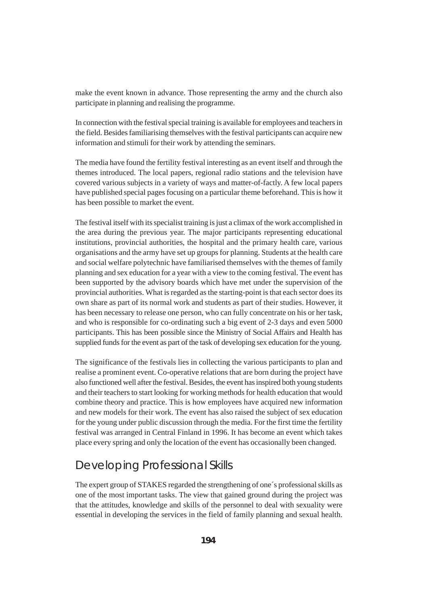make the event known in advance. Those representing the army and the church also participate in planning and realising the programme.

In connection with the festival special training is available for employees and teachers in the field. Besides familiarising themselves with the festival participants can acquire new information and stimuli for their work by attending the seminars.

The media have found the fertility festival interesting as an event itself and through the themes introduced. The local papers, regional radio stations and the television have covered various subjects in a variety of ways and matter-of-factly. A few local papers have published special pages focusing on a particular theme beforehand. This is how it has been possible to market the event.

The festival itself with its specialist training is just a climax of the work accomplished in the area during the previous year. The major participants representing educational institutions, provincial authorities, the hospital and the primary health care, various organisations and the army have set up groups for planning. Students at the health care and social welfare polytechnic have familiarised themselves with the themes of family planning and sex education for a year with a view to the coming festival. The event has been supported by the advisory boards which have met under the supervision of the provincial authorities. What is regarded as the starting-point is that each sector does its own share as part of its normal work and students as part of their studies. However, it has been necessary to release one person, who can fully concentrate on his or her task, and who is responsible for co-ordinating such a big event of 2-3 days and even 5000 participants. This has been possible since the Ministry of Social Affairs and Health has supplied funds for the event as part of the task of developing sex education for the young.

The significance of the festivals lies in collecting the various participants to plan and realise a prominent event. Co-operative relations that are born during the project have also functioned well after the festival. Besides, the event has inspired both young students and their teachers to start looking for working methods for health education that would combine theory and practice. This is how employees have acquired new information and new models for their work. The event has also raised the subject of sex education for the young under public discussion through the media. For the first time the fertility festival was arranged in Central Finland in 1996. It has become an event which takes place every spring and only the location of the event has occasionally been changed.

### Developing Professional Skills

The expert group of STAKES regarded the strengthening of one´s professional skills as one of the most important tasks. The view that gained ground during the project was that the attitudes, knowledge and skills of the personnel to deal with sexuality were essential in developing the services in the field of family planning and sexual health.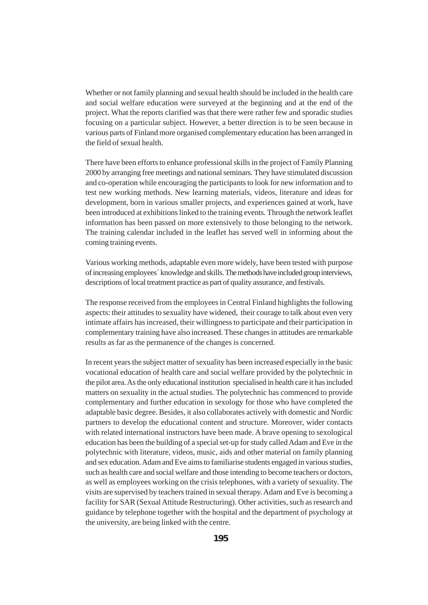Whether or not family planning and sexual health should be included in the health care and social welfare education were surveyed at the beginning and at the end of the project. What the reports clarified was that there were rather few and sporadic studies focusing on a particular subject. However, a better direction is to be seen because in various parts of Finland more organised complementary education has been arranged in the field of sexual health.

There have been efforts to enhance professional skills in the project of Family Planning 2000 by arranging free meetings and national seminars. They have stimulated discussion and co-operation while encouraging the participants to look for new information and to test new working methods. New learning materials, videos, literature and ideas for development, born in various smaller projects, and experiences gained at work, have been introduced at exhibitions linked to the training events. Through the network leaflet information has been passed on more extensively to those belonging to the network. The training calendar included in the leaflet has served well in informing about the coming training events.

Various working methods, adaptable even more widely, have been tested with purpose of increasing employees´ knowledge and skills. The methods have included group interviews, descriptions of local treatment practice as part of quality assurance, and festivals.

The response received from the employees in Central Finland highlights the following aspects: their attitudes to sexuality have widened, their courage to talk about even very intimate affairs has increased, their willingness to participate and their participation in complementary training have also increased. These changes in attitudes are remarkable results as far as the permanence of the changes is concerned.

In recent years the subject matter of sexuality has been increased especially in the basic vocational education of health care and social welfare provided by the polytechnic in the pilot area. As the only educational institution specialised in health care it has included matters on sexuality in the actual studies. The polytechnic has commenced to provide complementary and further education in sexology for those who have completed the adaptable basic degree. Besides, it also collaborates actively with domestic and Nordic partners to develop the educational content and structure. Moreover, wider contacts with related international instructors have been made. A brave opening to sexological education has been the building of a special set-up for study called Adam and Eve in the polytechnic with literature, videos, music, aids and other material on family planning and sex education. Adam and Eve aims to familiarise students engaged in various studies, such as health care and social welfare and those intending to become teachers or doctors, as well as employees working on the crisis telephones, with a variety of sexuality. The visits are supervised by teachers trained in sexual therapy. Adam and Eve is becoming a facility for SAR (Sexual Attitude Restructuring). Other activities, such as research and guidance by telephone together with the hospital and the department of psychology at the university, are being linked with the centre.